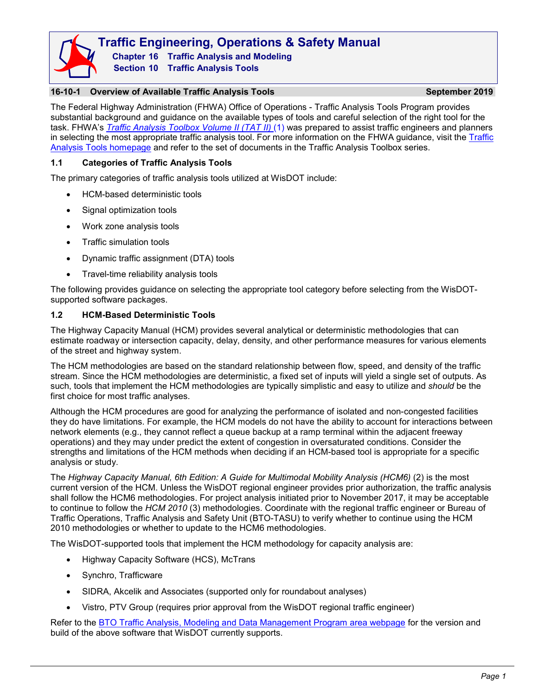

**Traffic Engineering, Operations & Safety Manual Chapter 16 Traffic Analysis and Modeling Section 10 Traffic Analysis Tools**

## **16-10-1 Overview of Available Traffic Analysis Tools September 2019**

The Federal Highway Administration (FHWA) Office of Operations - Traffic Analysis Tools Program provides substantial background and guidance on the available types of tools and careful selection of the right tool for the task. FHWA's *[Traffic Analysis Toolbox](https://ops.fhwa.dot.gov/trafficanalysistools/tat_vol2/index.htm) Volume II (TAT II)* (1) was prepared to assist traffic engineers and planners in selecting the most appropriate traffic analysis tool. For more information on the FHWA guidance, visit the Traffic [Analysis Tools homepage](https://ops.fhwa.dot.gov/trafficanalysistools/index.htm) and refer to the set of documents in the Traffic Analysis Toolbox series.

## **1.1 Categories of Traffic Analysis Tools**

The primary categories of traffic analysis tools utilized at WisDOT include:

- HCM-based deterministic tools
- Signal optimization tools
- Work zone analysis tools
- Traffic simulation tools
- Dynamic traffic assignment (DTA) tools
- Travel-time reliability analysis tools

The following provides guidance on selecting the appropriate tool category before selecting from the WisDOTsupported software packages.

## **1.2 HCM-Based Deterministic Tools**

The Highway Capacity Manual (HCM) provides several analytical or deterministic methodologies that can estimate roadway or intersection capacity, delay, density, and other performance measures for various elements of the street and highway system.

The HCM methodologies are based on the standard relationship between flow, speed, and density of the traffic stream. Since the HCM methodologies are deterministic, a fixed set of inputs will yield a single set of outputs. As such, tools that implement the HCM methodologies are typically simplistic and easy to utilize and *should* be the first choice for most traffic analyses.

Although the HCM procedures are good for analyzing the performance of isolated and non-congested facilities they do have limitations. For example, the HCM models do not have the ability to account for interactions between network elements (e.g., they cannot reflect a queue backup at a ramp terminal within the adjacent freeway operations) and they may under predict the extent of congestion in oversaturated conditions. Consider the strengths and limitations of the HCM methods when deciding if an HCM-based tool is appropriate for a specific analysis or study.

The *Highway Capacity Manual, 6th Edition: A Guide for Multimodal Mobility Analysis (HCM6)* (2) is the most current version of the HCM. Unless the WisDOT regional engineer provides prior authorization, the traffic analysis shall follow the HCM6 methodologies. For project analysis initiated prior to November 2017, it may be acceptable to continue to follow the *HCM 2010* (3) methodologies. Coordinate with the regional traffic engineer or Bureau of Traffic Operations, Traffic Analysis and Safety Unit (BTO-TASU) to verify whether to continue using the HCM 2010 methodologies or whether to update to the HCM6 methodologies.

The WisDOT-supported tools that implement the HCM methodology for capacity analysis are:

- Highway Capacity Software (HCS), McTrans
- Synchro, Trafficware
- SIDRA, Akcelik and Associates (supported only for roundabout analyses)
- Vistro, PTV Group (requires prior approval from the WisDOT regional traffic engineer)

Refer to the [BTO Traffic Analysis, Modeling and Data Management Program area webpage](https://wisconsindot.gov/Pages/doing-bus/local-gov/traffic-ops/programs/analysis/default.aspx) for the version and build of the above software that WisDOT currently supports.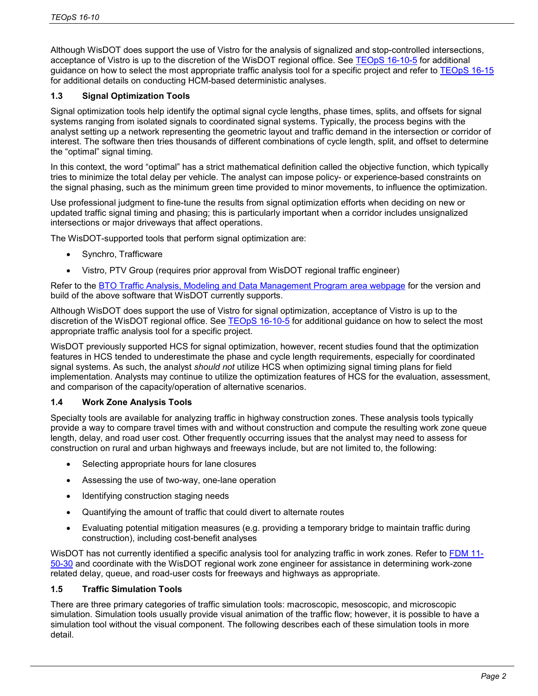Although WisDOT does support the use of Vistro for the analysis of signalized and stop-controlled intersections, acceptance of Vistro is up to the discretion of the WisDOT regional office. See [TEOpS 16-10-5](https://wisconsindot.gov/dtsdManuals/traffic-ops/manuals-and-standards/teops/16-10.pdf#16-10-5) for additional guidance on how to select the most appropriate traffic analysis tool for a specific project and refer to [TEOpS 16-15](https://wisconsindot.gov/dtsdManuals/traffic-ops/manuals-and-standards/teops/16-15.pdf) for additional details on conducting HCM-based deterministic analyses.

## **1.3 Signal Optimization Tools**

Signal optimization tools help identify the optimal signal cycle lengths, phase times, splits, and offsets for signal systems ranging from isolated signals to coordinated signal systems. Typically, the process begins with the analyst setting up a network representing the geometric layout and traffic demand in the intersection or corridor of interest. The software then tries thousands of different combinations of cycle length, split, and offset to determine the "optimal" signal timing.

In this context, the word "optimal" has a strict mathematical definition called the objective function, which typically tries to minimize the total delay per vehicle. The analyst can impose policy- or experience-based constraints on the signal phasing, such as the minimum green time provided to minor movements, to influence the optimization.

Use professional judgment to fine-tune the results from signal optimization efforts when deciding on new or updated traffic signal timing and phasing; this is particularly important when a corridor includes unsignalized intersections or major driveways that affect operations.

The WisDOT-supported tools that perform signal optimization are:

- Synchro, Trafficware
- Vistro, PTV Group (requires prior approval from WisDOT regional traffic engineer)

Refer to the [BTO Traffic Analysis, Modeling and Data Management Program area webpage](https://wisconsindot.gov/Pages/doing-bus/local-gov/traffic-ops/programs/analysis/default.aspx) for the version and build of the above software that WisDOT currently supports.

Although WisDOT does support the use of Vistro for signal optimization, acceptance of Vistro is up to the discretion of the WisDOT regional office. See [TEOpS 16-10-5](https://wisconsindot.gov/dtsdManuals/traffic-ops/manuals-and-standards/teops/16-10.pdf#16-10-5) for additional guidance on how to select the most appropriate traffic analysis tool for a specific project.

WisDOT previously supported HCS for signal optimization, however, recent studies found that the optimization features in HCS tended to underestimate the phase and cycle length requirements, especially for coordinated signal systems. As such, the analyst *should not* utilize HCS when optimizing signal timing plans for field implementation. Analysts may continue to utilize the optimization features of HCS for the evaluation, assessment, and comparison of the capacity/operation of alternative scenarios.

## **1.4 Work Zone Analysis Tools**

Specialty tools are available for analyzing traffic in highway construction zones. These analysis tools typically provide a way to compare travel times with and without construction and compute the resulting work zone queue length, delay, and road user cost. Other frequently occurring issues that the analyst may need to assess for construction on rural and urban highways and freeways include, but are not limited to, the following:

- Selecting appropriate hours for lane closures
- Assessing the use of two-way, one-lane operation
- Identifying construction staging needs
- Quantifying the amount of traffic that could divert to alternate routes
- Evaluating potential mitigation measures (e.g. providing a temporary bridge to maintain traffic during construction), including cost-benefit analyses

WisDOT has not currently identified a specific analysis tool for analyzing traffic in work zones. Refer to [FDM 11-](https://wisconsindot.gov/rdwy/fdm/fd-11-50.pdf#fd11-50) [50-30](https://wisconsindot.gov/rdwy/fdm/fd-11-50.pdf#fd11-50) and coordinate with the WisDOT regional work zone engineer for assistance in determining work-zone related delay, queue, and road-user costs for freeways and highways as appropriate.

### **1.5 Traffic Simulation Tools**

There are three primary categories of traffic simulation tools: macroscopic, mesoscopic, and microscopic simulation. Simulation tools usually provide visual animation of the traffic flow; however, it is possible to have a simulation tool without the visual component. The following describes each of these simulation tools in more detail.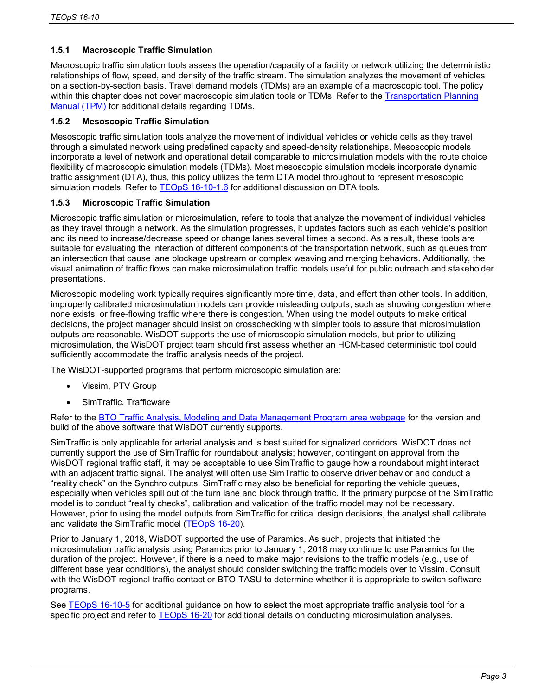## **1.5.1 Macroscopic Traffic Simulation**

Macroscopic traffic simulation tools assess the operation/capacity of a facility or network utilizing the deterministic relationships of flow, speed, and density of the traffic stream. The simulation analyzes the movement of vehicles on a section-by-section basis. Travel demand models (TDMs) are an example of a macroscopic tool. The policy within this chapter does not cover macroscopic simulation tools or TDMs. Refer to the Transportation Planning [Manual \(TPM\)](http://wisconsindot.gov/Documents/projects/data-plan/plan-res/tpm/9.pdf) for additional details regarding TDMs.

## **1.5.2 Mesoscopic Traffic Simulation**

Mesoscopic traffic simulation tools analyze the movement of individual vehicles or vehicle cells as they travel through a simulated network using predefined capacity and speed-density relationships. Mesoscopic models incorporate a level of network and operational detail comparable to microsimulation models with the route choice flexibility of macroscopic simulation models (TDMs). Most mesoscopic simulation models incorporate dynamic traffic assignment (DTA), thus, this policy utilizes the term DTA model throughout to represent mesoscopic simulation models. Refer to [TEOpS 16-10-1.6](https://wisconsindot.gov/dtsdManuals/traffic-ops/manuals-and-standards/teops/16-10.pdf#16-10-1) for additional discussion on DTA tools.

## **1.5.3 Microscopic Traffic Simulation**

Microscopic traffic simulation or microsimulation, refers to tools that analyze the movement of individual vehicles as they travel through a network. As the simulation progresses, it updates factors such as each vehicle's position and its need to increase/decrease speed or change lanes several times a second. As a result, these tools are suitable for evaluating the interaction of different components of the transportation network, such as queues from an intersection that cause lane blockage upstream or complex weaving and merging behaviors. Additionally, the visual animation of traffic flows can make microsimulation traffic models useful for public outreach and stakeholder presentations.

Microscopic modeling work typically requires significantly more time, data, and effort than other tools. In addition, improperly calibrated microsimulation models can provide misleading outputs, such as showing congestion where none exists, or free-flowing traffic where there is congestion. When using the model outputs to make critical decisions, the project manager should insist on crosschecking with simpler tools to assure that microsimulation outputs are reasonable. WisDOT supports the use of microscopic simulation models, but prior to utilizing microsimulation, the WisDOT project team should first assess whether an HCM-based deterministic tool could sufficiently accommodate the traffic analysis needs of the project.

The WisDOT-supported programs that perform microscopic simulation are:

- Vissim, PTV Group
- SimTraffic, Trafficware

Refer to the [BTO Traffic Analysis, Modeling and Data Management Program area webpage](https://wisconsindot.gov/Pages/doing-bus/local-gov/traffic-ops/programs/analysis/default.aspx) for the version and build of the above software that WisDOT currently supports.

SimTraffic is only applicable for arterial analysis and is best suited for signalized corridors. WisDOT does not currently support the use of SimTraffic for roundabout analysis; however, contingent on approval from the WisDOT regional traffic staff, it may be acceptable to use SimTraffic to gauge how a roundabout might interact with an adjacent traffic signal. The analyst will often use SimTraffic to observe driver behavior and conduct a "reality check" on the Synchro outputs. SimTraffic may also be beneficial for reporting the vehicle queues, especially when vehicles spill out of the turn lane and block through traffic. If the primary purpose of the SimTraffic model is to conduct "reality checks", calibration and validation of the traffic model may not be necessary. However, prior to using the model outputs from SimTraffic for critical design decisions, the analyst shall calibrate and validate the SimTraffic model [\(TEOpS 16-20\)](https://wisconsindot.gov/dtsdManuals/traffic-ops/manuals-and-standards/teops/16-20.pdf).

Prior to January 1, 2018, WisDOT supported the use of Paramics. As such, projects that initiated the microsimulation traffic analysis using Paramics prior to January 1, 2018 may continue to use Paramics for the duration of the project. However, if there is a need to make major revisions to the traffic models (e.g., use of different base year conditions), the analyst should consider switching the traffic models over to Vissim. Consult with the WisDOT regional traffic contact or BTO-TASU to determine whether it is appropriate to switch software programs.

See [TEOpS 16-10-5](https://wisconsindot.gov/dtsdManuals/traffic-ops/manuals-and-standards/teops/16-10.pdf#16-10-5) for additional guidance on how to select the most appropriate traffic analysis tool for a specific project and refer to [TEOpS 16-20](https://wisconsindot.gov/dtsdManuals/traffic-ops/manuals-and-standards/teops/16-20.pdf) for additional details on conducting microsimulation analyses.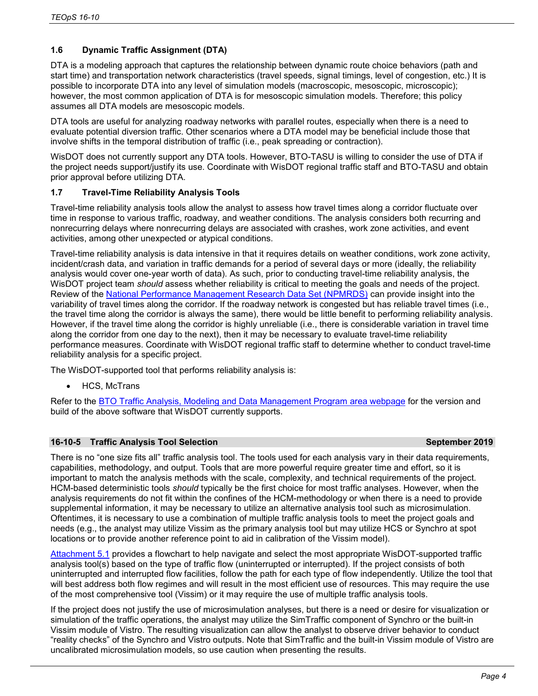## **1.6 Dynamic Traffic Assignment (DTA)**

DTA is a modeling approach that captures the relationship between dynamic route choice behaviors (path and start time) and transportation network characteristics (travel speeds, signal timings, level of congestion, etc.) It is possible to incorporate DTA into any level of simulation models (macroscopic, mesoscopic, microscopic); however, the most common application of DTA is for mesoscopic simulation models. Therefore; this policy assumes all DTA models are mesoscopic models.

DTA tools are useful for analyzing roadway networks with parallel routes, especially when there is a need to evaluate potential diversion traffic. Other scenarios where a DTA model may be beneficial include those that involve shifts in the temporal distribution of traffic (i.e., peak spreading or contraction).

WisDOT does not currently support any DTA tools. However, BTO-TASU is willing to consider the use of DTA if the project needs support/justify its use. Coordinate with WisDOT regional traffic staff and BTO-TASU and obtain prior approval before utilizing DTA.

## **1.7 Travel-Time Reliability Analysis Tools**

Travel-time reliability analysis tools allow the analyst to assess how travel times along a corridor fluctuate over time in response to various traffic, roadway, and weather conditions. The analysis considers both recurring and nonrecurring delays where nonrecurring delays are associated with crashes, work zone activities, and event activities, among other unexpected or atypical conditions.

Travel-time reliability analysis is data intensive in that it requires details on weather conditions, work zone activity, incident/crash data, and variation in traffic demands for a period of several days or more (ideally, the reliability analysis would cover one-year worth of data). As such, prior to conducting travel-time reliability analysis, the WisDOT project team *should* assess whether reliability is critical to meeting the goals and needs of the project. Review of the [National Performance Management Research Data Set \(NPMRDS\)](https://npmrds.ritis.org/analytics/) can provide insight into the variability of travel times along the corridor. If the roadway network is congested but has reliable travel times (i.e., the travel time along the corridor is always the same), there would be little benefit to performing reliability analysis. However, if the travel time along the corridor is highly unreliable (i.e., there is considerable variation in travel time along the corridor from one day to the next), then it may be necessary to evaluate travel-time reliability performance measures. Coordinate with WisDOT regional traffic staff to determine whether to conduct travel-time reliability analysis for a specific project.

The WisDOT-supported tool that performs reliability analysis is:

• HCS, McTrans

Refer to the [BTO Traffic Analysis, Modeling and Data Management Program area webpage](https://wisconsindot.gov/Pages/doing-bus/local-gov/traffic-ops/programs/analysis/default.aspx) for the version and build of the above software that WisDOT currently supports.

### **16-10-5 Traffic Analysis Tool Selection September 2019**

#### There is no "one size fits all" traffic analysis tool. The tools used for each analysis vary in their data requirements, capabilities, methodology, and output. Tools that are more powerful require greater time and effort, so it is important to match the analysis methods with the scale, complexity, and technical requirements of the project. HCM-based deterministic tools *should* typically be the first choice for most traffic analyses. However, when the analysis requirements do not fit within the confines of the HCM-methodology or when there is a need to provide supplemental information, it may be necessary to utilize an alternative analysis tool such as microsimulation. Oftentimes, it is necessary to use a combination of multiple traffic analysis tools to meet the project goals and needs (e.g., the analyst may utilize Vissim as the primary analysis tool but may utilize HCS or Synchro at spot locations or to provide another reference point to aid in calibration of the Vissim model).

[Attachment 5.1](https://wisconsindot.gov/dtsdManuals/traffic-ops/manuals-and-standards/teops/16-10att5.1.pdf) provides a flowchart to help navigate and select the most appropriate WisDOT-supported traffic analysis tool(s) based on the type of traffic flow (uninterrupted or interrupted). If the project consists of both uninterrupted and interrupted flow facilities, follow the path for each type of flow independently. Utilize the tool that will best address both flow regimes and will result in the most efficient use of resources. This may require the use of the most comprehensive tool (Vissim) or it may require the use of multiple traffic analysis tools.

If the project does not justify the use of microsimulation analyses, but there is a need or desire for visualization or simulation of the traffic operations, the analyst may utilize the SimTraffic component of Synchro or the built-in Vissim module of Vistro. The resulting visualization can allow the analyst to observe driver behavior to conduct "reality checks" of the Synchro and Vistro outputs. Note that SimTraffic and the built-in Vissim module of Vistro are uncalibrated microsimulation models, so use caution when presenting the results.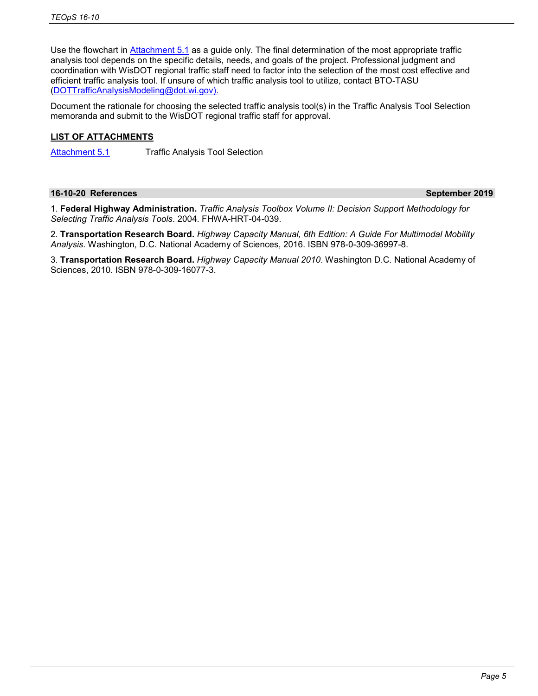Use the flowchart in [Attachment 5.1](https://wisconsindot.gov/dtsdManuals/traffic-ops/manuals-and-standards/teops/16-10att5.1.pdf) as a guide only. The final determination of the most appropriate traffic analysis tool depends on the specific details, needs, and goals of the project. Professional judgment and coordination with WisDOT regional traffic staff need to factor into the selection of the most cost effective and efficient traffic analysis tool. If unsure of which traffic analysis tool to utilize, contact BTO-TASU [\(DOTTrafficAnalysisModeling@dot.wi.gov\)](mailto:DOTTrafficAnalysisModeling@dot.wi.gov).

Document the rationale for choosing the selected traffic analysis tool(s) in the Traffic Analysis Tool Selection memoranda and submit to the WisDOT regional traffic staff for approval.

## **LIST OF ATTACHMENTS**

[Attachment 5.1](https://wisconsindot.gov/dtsdManuals/traffic-ops/manuals-and-standards/teops/16-10att5.1.pdf) Traffic Analysis Tool Selection

### **16-10-20 References September 2019**

1. **Federal Highway Administration.** *Traffic Analysis Toolbox Volume II: Decision Support Methodology for Selecting Traffic Analysis Tools*. 2004. FHWA-HRT-04-039.

2. **Transportation Research Board.** *Highway Capacity Manual, 6th Edition: A Guide For Multimodal Mobility Analysis.* Washington, D.C. National Academy of Sciences, 2016. ISBN 978-0-309-36997-8.

3. **Transportation Research Board.** *Highway Capacity Manual 2010*. Washington D.C. National Academy of Sciences, 2010. ISBN 978-0-309-16077-3.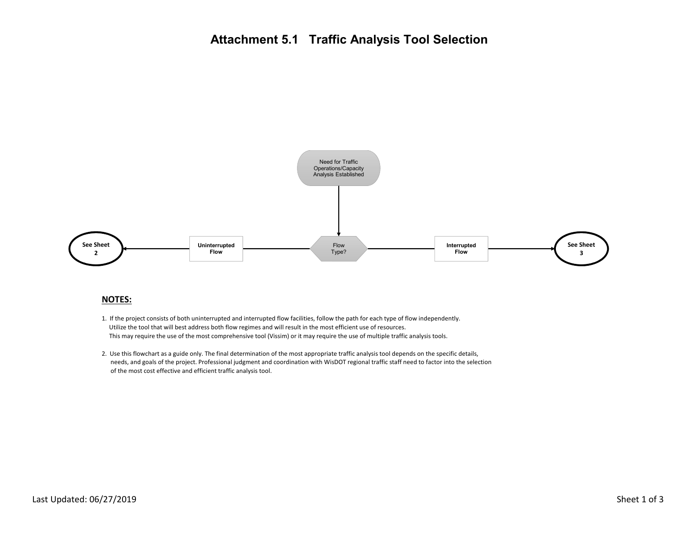

#### **NOTES:**

- 1. If the project consists of both uninterrupted and interrupted flow facilities, follow the path for each type of flow independently. Utilize the tool that will best address both flow regimes and will result in the most efficient use of resources. This may require the use of the most comprehensive tool (Vissim) or it may require the use of multiple traffic analysis tools.
- 2. Use this flowchart as a guide only. The final determination of the most appropriate traffic analysis tool depends on the specific details, needs, and goals of the project. Professional judgment and coordination with WisDOT regional traffic staff need to factor into the selection of the most cost effective and efficient traffic analysis tool.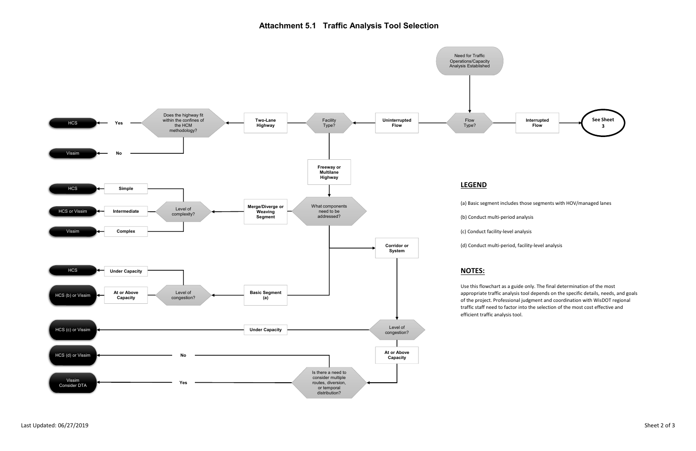# **Attachment 5.1 Traffic Analysis Tool Selection**